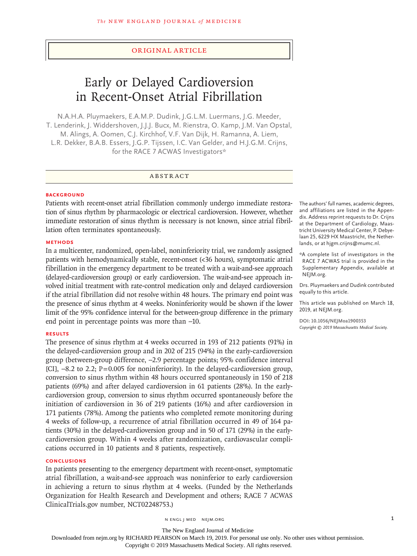### Original Article

# Early or Delayed Cardioversion in Recent-Onset Atrial Fibrillation

N.A.H.A. Pluymaekers, E.A.M.P. Dudink, J.G.L.M. Luermans, J.G. Meeder, T. Lenderink, J. Widdershoven, J.J.J. Bucx, M. Rienstra, O. Kamp, J.M. Van Opstal, M. Alings, A. Oomen, C.J. Kirchhof, V.F. Van Dijk, H. Ramanna, A. Liem, L.R. Dekker, B.A.B. Essers, J.G.P. Tijssen, I.C. Van Gelder, and H.J.G.M. Crijns, for the RACE 7 ACWAS Investigators\*

# ABSTRACT

### **BACKGROUND**

Patients with recent-onset atrial fibrillation commonly undergo immediate restoration of sinus rhythm by pharmacologic or electrical cardioversion. However, whether immediate restoration of sinus rhythm is necessary is not known, since atrial fibrillation often terminates spontaneously.

### **METHODS**

In a multicenter, randomized, open-label, noninferiority trial, we randomly assigned patients with hemodynamically stable, recent-onset (<36 hours), symptomatic atrial fibrillation in the emergency department to be treated with a wait-and-see approach (delayed-cardioversion group) or early cardioversion. The wait-and-see approach involved initial treatment with rate-control medication only and delayed cardioversion if the atrial fibrillation did not resolve within 48 hours. The primary end point was the presence of sinus rhythm at 4 weeks. Noninferiority would be shown if the lower limit of the 95% confidence interval for the between-group difference in the primary end point in percentage points was more than −10.

### **RESULTS**

The presence of sinus rhythm at 4 weeks occurred in 193 of 212 patients (91%) in the delayed-cardioversion group and in 202 of 215 (94%) in the early-cardioversion group (between-group difference, −2.9 percentage points; 95% confidence interval [CI], −8.2 to 2.2; P=0.005 for noninferiority). In the delayed-cardioversion group, conversion to sinus rhythm within 48 hours occurred spontaneously in 150 of 218 patients (69%) and after delayed cardioversion in 61 patients (28%). In the earlycardioversion group, conversion to sinus rhythm occurred spontaneously before the initiation of cardioversion in 36 of 219 patients (16%) and after cardioversion in 171 patients (78%). Among the patients who completed remote monitoring during 4 weeks of follow-up, a recurrence of atrial fibrillation occurred in 49 of 164 patients (30%) in the delayed-cardioversion group and in 50 of 171 (29%) in the earlycardioversion group. Within 4 weeks after randomization, cardiovascular complications occurred in 10 patients and 8 patients, respectively.

### **CONCLUSIONS**

In patients presenting to the emergency department with recent-onset, symptomatic atrial fibrillation, a wait-and-see approach was noninferior to early cardioversion in achieving a return to sinus rhythm at 4 weeks. (Funded by the Netherlands Organization for Health Research and Development and others; RACE 7 ACWAS ClinicalTrials.gov number, NCT02248753.)

The authors' full names, academic degrees, and affiliations are listed in the Appendix. Address reprint requests to Dr. Crijns at the Department of Cardiology, Maastricht University Medical Center, P. Debyelaan 25, 6229 HX Maastricht, the Netherlands, or at hjgm.crijns@mumc.nl.

\*A complete list of investigators in the RACE 7 ACWAS trial is provided in the Supplementary Appendix, available at NEJM.org.

Drs. Pluymaekers and Dudink contributed equally to this article.

This article was published on March 18, 2019, at NEJM.org.

**DOI: 10.1056/NEJMoa1900353** *Copyright © 2019 Massachusetts Medical Society.*

n engl j med nejm.org 1

The New England Journal of Medicine

Downloaded from nejm.org by RICHARD PEARSON on March 19, 2019. For personal use only. No other uses without permission.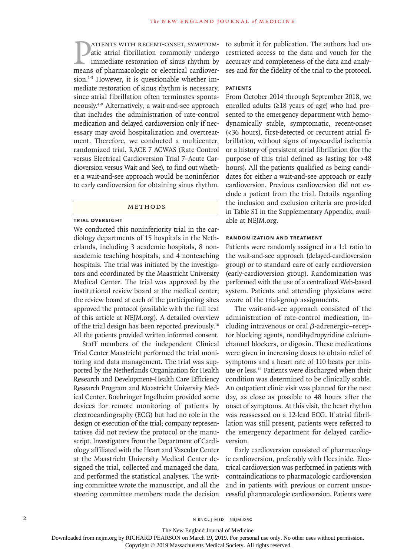**PATIENTS WITH RECENT-ONSET, SYMPTOM-**<br>atic atrial fibrillation commonly undergo<br>immediate restoration of sinus rhythm by<br>means of pharmacologic or electrical cardioveratients with recent-onset, symptomatic atrial fibrillation commonly undergo immediate restoration of sinus rhythm by sion.<sup>1-3</sup> However, it is questionable whether immediate restoration of sinus rhythm is necessary, since atrial fibrillation often terminates spontaneously.4-9 Alternatively, a wait-and-see approach that includes the administration of rate-control medication and delayed cardioversion only if necessary may avoid hospitalization and overtreatment. Therefore, we conducted a multicenter, randomized trial, RACE 7 ACWAS (Rate Control versus Electrical Cardioversion Trial 7–Acute Cardioversion versus Wait and See), to find out whether a wait-and-see approach would be noninferior to early cardioversion for obtaining sinus rhythm.

### Methods

### **Trial Oversight**

We conducted this noninferiority trial in the cardiology departments of 15 hospitals in the Netherlands, including 3 academic hospitals, 8 nonacademic teaching hospitals, and 4 nonteaching hospitals. The trial was initiated by the investigators and coordinated by the Maastricht University Medical Center. The trial was approved by the institutional review board at the medical center; the review board at each of the participating sites approved the protocol (available with the full text of this article at NEJM.org). A detailed overview of the trial design has been reported previously.<sup>10</sup> All the patients provided written informed consent.

Staff members of the independent Clinical Trial Center Maastricht performed the trial monitoring and data management. The trial was supported by the Netherlands Organization for Health Research and Development–Health Care Efficiency Research Program and Maastricht University Medical Center. Boehringer Ingelheim provided some devices for remote monitoring of patients by electrocardiography (ECG) but had no role in the design or execution of the trial; company representatives did not review the protocol or the manuscript. Investigators from the Department of Cardiology affiliated with the Heart and Vascular Center at the Maastricht University Medical Center designed the trial, collected and managed the data, and performed the statistical analyses. The writing committee wrote the manuscript, and all the steering committee members made the decision to submit it for publication. The authors had unrestricted access to the data and vouch for the accuracy and completeness of the data and analyses and for the fidelity of the trial to the protocol.

#### **Patients**

From October 2014 through September 2018, we enrolled adults (≥18 years of age) who had presented to the emergency department with hemodynamically stable, symptomatic, recent-onset (<36 hours), first-detected or recurrent atrial fibrillation, without signs of myocardial ischemia or a history of persistent atrial fibrillation (for the purpose of this trial defined as lasting for >48 hours). All the patients qualified as being candidates for either a wait-and-see approach or early cardioversion. Previous cardioversion did not exclude a patient from the trial. Details regarding the inclusion and exclusion criteria are provided in Table S1 in the Supplementary Appendix, available at NEJM.org.

### **Randomization and Treatment**

Patients were randomly assigned in a 1:1 ratio to the wait-and-see approach (delayed-cardioversion group) or to standard care of early cardioversion (early-cardioversion group). Randomization was performed with the use of a centralized Web-based system. Patients and attending physicians were aware of the trial-group assignments.

The wait-and-see approach consisted of the administration of rate-control medication, including intravenous or oral β-adrenergic–receptor blocking agents, nondihydropyridine calciumchannel blockers, or digoxin. These medications were given in increasing doses to obtain relief of symptoms and a heart rate of 110 beats per minute or less.11 Patients were discharged when their condition was determined to be clinically stable. An outpatient clinic visit was planned for the next day, as close as possible to 48 hours after the onset of symptoms. At this visit, the heart rhythm was reassessed on a 12-lead ECG. If atrial fibrillation was still present, patients were referred to the emergency department for delayed cardioversion.

Early cardioversion consisted of pharmacologic cardioversion, preferably with flecainide. Electrical cardioversion was performed in patients with contraindications to pharmacologic cardioversion and in patients with previous or current unsuccessful pharmacologic cardioversion. Patients were

The New England Journal of Medicine

Downloaded from nejm.org by RICHARD PEARSON on March 19, 2019. For personal use only. No other uses without permission.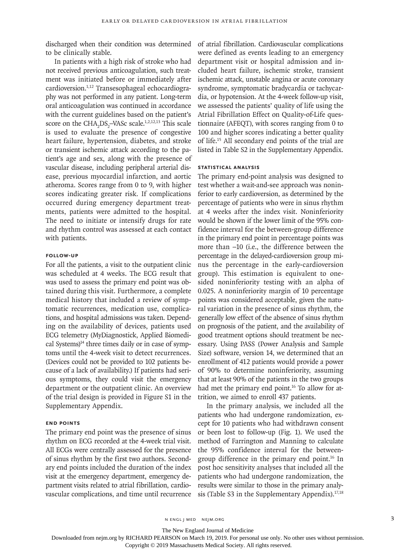discharged when their condition was determined of atrial fibrillation. Cardiovascular complications to be clinically stable.

In patients with a high risk of stroke who had not received previous anticoagulation, such treatment was initiated before or immediately after cardioversion.1,12 Transesophageal echocardiography was not performed in any patient. Long-term oral anticoagulation was continued in accordance with the current guidelines based on the patient's score on the  $CHA_2DS_2$ -VASc scale.<sup>1,2,12,13</sup> This scale is used to evaluate the presence of congestive heart failure, hypertension, diabetes, and stroke or transient ischemic attack according to the patient's age and sex, along with the presence of vascular disease, including peripheral arterial disease, previous myocardial infarction, and aortic atheroma. Scores range from 0 to 9, with higher scores indicating greater risk. If complications occurred during emergency department treatments, patients were admitted to the hospital. The need to initiate or intensify drugs for rate and rhythm control was assessed at each contact with patients.

### **Follow-up**

For all the patients, a visit to the outpatient clinic was scheduled at 4 weeks. The ECG result that was used to assess the primary end point was obtained during this visit. Furthermore, a complete medical history that included a review of symptomatic recurrences, medication use, complications, and hospital admissions was taken. Depending on the availability of devices, patients used ECG telemetry (MyDiagnostick, Applied Biomedical Systems)<sup>14</sup> three times daily or in case of symptoms until the 4-week visit to detect recurrences. (Devices could not be provided to 102 patients because of a lack of availability.) If patients had serious symptoms, they could visit the emergency department or the outpatient clinic. An overview of the trial design is provided in Figure S1 in the Supplementary Appendix.

# **End Points**

The primary end point was the presence of sinus rhythm on ECG recorded at the 4-week trial visit. All ECGs were centrally assessed for the presence of sinus rhythm by the first two authors. Secondary end points included the duration of the index visit at the emergency department, emergency department visits related to atrial fibrillation, cardiovascular complications, and time until recurrence were defined as events leading to an emergency department visit or hospital admission and included heart failure, ischemic stroke, transient ischemic attack, unstable angina or acute coronary syndrome, symptomatic bradycardia or tachycardia, or hypotension. At the 4-week follow-up visit, we assessed the patients' quality of life using the Atrial Fibrillation Effect on Quality-of-Life questionnaire (AFEQT), with scores ranging from 0 to 100 and higher scores indicating a better quality of life.15 All secondary end points of the trial are listed in Table S2 in the Supplementary Appendix.

# **Statistical Analysis**

The primary end-point analysis was designed to test whether a wait-and-see approach was noninferior to early cardioversion, as determined by the percentage of patients who were in sinus rhythm at 4 weeks after the index visit. Noninferiority would be shown if the lower limit of the 95% confidence interval for the between-group difference in the primary end point in percentage points was more than −10 (i.e., the difference between the percentage in the delayed-cardioversion group minus the percentage in the early-cardioversion group). This estimation is equivalent to onesided noninferiority testing with an alpha of 0.025. A noninferiority margin of 10 percentage points was considered acceptable, given the natural variation in the presence of sinus rhythm, the generally low effect of the absence of sinus rhythm on prognosis of the patient, and the availability of good treatment options should treatment be necessary. Using PASS (Power Analysis and Sample Size) software, version 14, we determined that an enrollment of 412 patients would provide a power of 90% to determine noninferiority, assuming that at least 90% of the patients in the two groups had met the primary end point.<sup>16</sup> To allow for attrition, we aimed to enroll 437 patients.

In the primary analysis, we included all the patients who had undergone randomization, except for 10 patients who had withdrawn consent or been lost to follow-up (Fig. 1). We used the method of Farrington and Manning to calculate the 95% confidence interval for the betweengroup difference in the primary end point.16 In post hoc sensitivity analyses that included all the patients who had undergone randomization, the results were similar to those in the primary analysis (Table S3 in the Supplementary Appendix). $17,18$ 

n engl j med nejm.org 3

The New England Journal of Medicine

Downloaded from nejm.org by RICHARD PEARSON on March 19, 2019. For personal use only. No other uses without permission.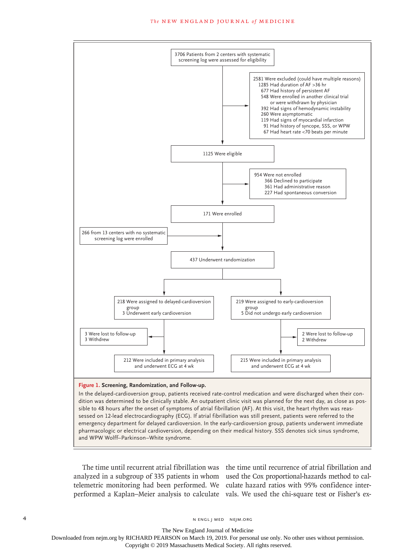#### **The NEW ENGLAND JOURNAL of MEDICINE**



sible to 48 hours after the onset of symptoms of atrial fibrillation (AF). At this visit, the heart rhythm was reassessed on 12-lead electrocardiography (ECG). If atrial fibrillation was still present, patients were referred to the emergency department for delayed cardioversion. In the early-cardioversion group, patients underwent immediate pharmacologic or electrical cardioversion, depending on their medical history. SSS denotes sick sinus syndrome, and WPW Wolff–Parkinson–White syndrome.

The time until recurrent atrial fibrillation was the time until recurrence of atrial fibrillation and analyzed in a subgroup of 335 patients in whom used the Cox proportional-hazards method to caltelemetric monitoring had been performed. We culate hazard ratios with 95% confidence interperformed a Kaplan–Meier analysis to calculate vals. We used the chi-square test or Fisher's ex-

4 n engl j med nejm.org nejm.org neighborhood in the negative media in the negative media in the negative media in the negative media in the negative media in the negative media in the negative media in the negative media

The New England Journal of Medicine

Downloaded from nejm.org by RICHARD PEARSON on March 19, 2019. For personal use only. No other uses without permission.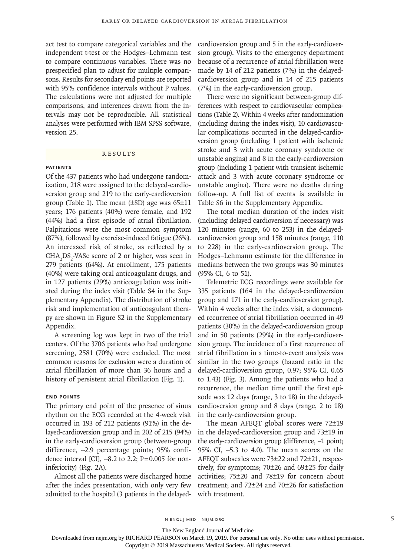act test to compare categorical variables and the independent t-test or the Hodges–Lehmann test to compare continuous variables. There was no prespecified plan to adjust for multiple comparisons. Results for secondary end points are reported with 95% confidence intervals without P values. The calculations were not adjusted for multiple comparisons, and inferences drawn from the intervals may not be reproducible. All statistical analyses were performed with IBM SPSS software, version 25.

### **RESULTS**

## **Patients**

Of the 437 patients who had undergone randomization, 218 were assigned to the delayed-cardioversion group and 219 to the early-cardioversion group (Table 1). The mean (±SD) age was 65±11 years; 176 patients (40%) were female, and 192 (44%) had a first episode of atrial fibrillation. Palpitations were the most common symptom (87%), followed by exercise-induced fatigue (26%). An increased risk of stroke, as reflected by a CHA<sub>2</sub>DS<sub>2</sub>-VASc score of 2 or higher, was seen in 279 patients (64%). At enrollment, 175 patients (40%) were taking oral anticoagulant drugs, and in 127 patients (29%) anticoagulation was initiated during the index visit (Table S4 in the Supplementary Appendix). The distribution of stroke risk and implementation of anticoagulant therapy are shown in Figure S2 in the Supplementary Appendix.

A screening log was kept in two of the trial centers. Of the 3706 patients who had undergone screening, 2581 (70%) were excluded. The most common reasons for exclusion were a duration of atrial fibrillation of more than 36 hours and a history of persistent atrial fibrillation (Fig. 1).

### **End Points**

The primary end point of the presence of sinus rhythm on the ECG recorded at the 4-week visit occurred in 193 of 212 patients (91%) in the delayed-cardioversion group and in 202 of 215 (94%) in the early-cardioversion group (between-group difference, −2.9 percentage points; 95% confidence interval [CI],  $-8.2$  to 2.2; P=0.005 for noninferiority) (Fig. 2A).

Almost all the patients were discharged home after the index presentation, with only very few admitted to the hospital (3 patients in the delayedcardioversion group and 5 in the early-cardioversion group). Visits to the emergency department because of a recurrence of atrial fibrillation were made by 14 of 212 patients (7%) in the delayedcardioversion group and in 14 of 215 patients (7%) in the early-cardioversion group.

There were no significant between-group differences with respect to cardiovascular complications (Table 2). Within 4 weeks after randomization (including during the index visit), 10 cardiovascular complications occurred in the delayed-cardioversion group (including 1 patient with ischemic stroke and 3 with acute coronary syndrome or unstable angina) and 8 in the early-cardioversion group (including 1 patient with transient ischemic attack and 3 with acute coronary syndrome or unstable angina). There were no deaths during follow-up. A full list of events is available in Table S6 in the Supplementary Appendix.

The total median duration of the index visit (including delayed cardioversion if necessary) was 120 minutes (range, 60 to 253) in the delayedcardioversion group and 158 minutes (range, 110 to 228) in the early-cardioversion group. The Hodges–Lehmann estimate for the difference in medians between the two groups was 30 minutes (95% CI, 6 to 51).

Telemetric ECG recordings were available for 335 patients (164 in the delayed-cardioversion group and 171 in the early-cardioversion group). Within 4 weeks after the index visit, a documented recurrence of atrial fibrillation occurred in 49 patients (30%) in the delayed-cardioversion group and in 50 patients (29%) in the early-cardioversion group. The incidence of a first recurrence of atrial fibrillation in a time-to-event analysis was similar in the two groups (hazard ratio in the delayed-cardioversion group, 0.97; 95% CI, 0.65 to 1.43) (Fig. 3). Among the patients who had a recurrence, the median time until the first episode was 12 days (range, 3 to 18) in the delayedcardioversion group and 8 days (range, 2 to 18) in the early-cardioversion group.

The mean AFEQT global scores were 72±19 in the delayed-cardioversion group and 73±19 in the early-cardioversion group (difference, −1 point; 95% CI, −5.3 to 4.0). The mean scores on the AFEQT subscales were 73±22 and 72±21, respectively, for symptoms; 70±26 and 69±25 for daily activities; 75±20 and 78±19 for concern about treatment; and 72±24 and 70±26 for satisfaction with treatment.

n engl j med nejm.org 5

The New England Journal of Medicine

Downloaded from nejm.org by RICHARD PEARSON on March 19, 2019. For personal use only. No other uses without permission.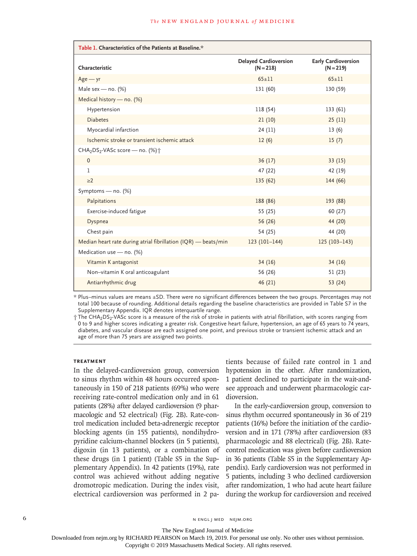| Table 1. Characteristics of the Patients at Baseline.*              |                                             |                                           |  |  |  |
|---------------------------------------------------------------------|---------------------------------------------|-------------------------------------------|--|--|--|
| Characteristic                                                      | <b>Delayed Cardioversion</b><br>$(N = 218)$ | <b>Early Cardioversion</b><br>$(N = 219)$ |  |  |  |
| $Age - yr$                                                          | $65 + 11$                                   | $65 + 11$                                 |  |  |  |
| Male sex - no. $(%)$                                                | 131 (60)                                    | 130 (59)                                  |  |  |  |
| Medical history - no. (%)                                           |                                             |                                           |  |  |  |
| Hypertension                                                        | 118 (54)                                    | 133 (61)                                  |  |  |  |
| <b>Diabetes</b>                                                     | 21(10)                                      | 25(11)                                    |  |  |  |
| Myocardial infarction                                               | 24 (11)                                     | 13(6)                                     |  |  |  |
| Ischemic stroke or transient ischemic attack                        | 12(6)                                       | 15(7)                                     |  |  |  |
| CHA <sub>2</sub> DS <sub>2</sub> -VASc score - no. (%) <sup>+</sup> |                                             |                                           |  |  |  |
| $\mathbf{0}$                                                        | 36(17)                                      | 33(15)                                    |  |  |  |
| 1                                                                   | 47 (22)                                     | 42 (19)                                   |  |  |  |
| $\geq$ 2                                                            | 135(62)                                     | 144 (66)                                  |  |  |  |
| Symptoms - no. (%)                                                  |                                             |                                           |  |  |  |
| Palpitations                                                        | 188 (86)                                    | 193 (88)                                  |  |  |  |
| Exercise-induced fatigue                                            | 55 (25)                                     | 60 (27)                                   |  |  |  |
| Dyspnea                                                             | 56 (26)                                     | 44 (20)                                   |  |  |  |
| Chest pain                                                          | 54 (25)                                     | 44 (20)                                   |  |  |  |
| Median heart rate during atrial fibrillation (IQR) — beats/min      | $123(101-144)$                              | $125(103-143)$                            |  |  |  |
| Medication use - no. (%)                                            |                                             |                                           |  |  |  |
| Vitamin K antagonist                                                | 34(16)                                      | 34(16)                                    |  |  |  |
| Non-vitamin K oral anticoagulant                                    | 56 (26)                                     | 51 (23)                                   |  |  |  |
| Antiarrhythmic drug                                                 | 46 (21)                                     | 53 (24)                                   |  |  |  |

\* Plus–minus values are means ±SD. There were no significant differences between the two groups. Percentages may not total 100 because of rounding. Additional details regarding the baseline characteristics are provided in Table S7 in the Supplementary Appendix. IQR denotes interquartile range.

† The CHA2DS2-VASc score is a measure of the risk of stroke in patients with atrial fibrillation, with scores ranging from 0 to 9 and higher scores indicating a greater risk. Congestive heart failure, hypertension, an age of 65 years to 74 years, diabetes, and vascular disease are each assigned one point, and previous stroke or transient ischemic attack and an age of more than 75 years are assigned two points.

#### **TREATMENT**

In the delayed-cardioversion group, conversion to sinus rhythm within 48 hours occurred spontaneously in 150 of 218 patients (69%) who were receiving rate-control medication only and in 61 patients (28%) after delayed cardioversion (9 pharmacologic and 52 electrical) (Fig. 2B). Rate-control medication included beta-adrenergic receptor blocking agents (in 155 patients), nondihydropyridine calcium-channel blockers (in 5 patients), digoxin (in 13 patients), or a combination of these drugs (in 1 patient) (Table S5 in the Supplementary Appendix). In 42 patients (19%), rate control was achieved without adding negative dromotropic medication. During the index visit, electrical cardioversion was performed in 2 patients because of failed rate control in 1 and hypotension in the other. After randomization, 1 patient declined to participate in the wait-andsee approach and underwent pharmacologic cardioversion.

In the early-cardioversion group, conversion to sinus rhythm occurred spontaneously in 36 of 219 patients (16%) before the initiation of the cardioversion and in 171 (78%) after cardioversion (83 pharmacologic and 88 electrical) (Fig. 2B). Ratecontrol medication was given before cardioversion in 36 patients (Table S5 in the Supplementary Appendix). Early cardioversion was not performed in 5 patients, including 3 who declined cardioversion after randomization, 1 who had acute heart failure during the workup for cardioversion and received

6 **n** engl j med nejm.org neighbors in the neutral media  $\frac{1}{2}$  media  $\frac{1}{2}$  media  $\frac{1}{2}$  media  $\frac{1}{2}$  media  $\frac{1}{2}$  media  $\frac{1}{2}$  media  $\frac{1}{2}$  media  $\frac{1}{2}$  media  $\frac{1}{2}$  media  $\frac{1}{2}$  media  $\frac{1$ 

The New England Journal of Medicine

Downloaded from nejm.org by RICHARD PEARSON on March 19, 2019. For personal use only. No other uses without permission.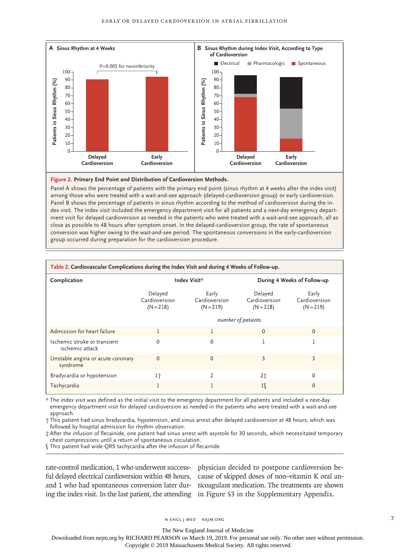

### **Figure 2. Primary End Point and Distribution of Cardioversion Methods.**

Panel A shows the percentage of patients with the primary end point (sinus rhythm at 4 weeks after the index visit) among those who were treated with a wait-and-see approach (delayed-cardioversion group) or early cardioversion. Panel B shows the percentage of patients in sinus rhythm according to the method of cardioversion during the index visit. The index visit included the emergency department visit for all patients and a next-day emergency department visit for delayed cardioversion as needed in the patients who were treated with a wait-and-see approach, all as close as possible to 48 hours after symptom onset. In the delayed-cardioversion group, the rate of spontaneous conversion was higher owing to the wait-and-see period. The spontaneous conversions in the early-cardioversion

| Table 2. Cardiovascular Complications during the Index Visit and during 4 Weeks of Follow-up. |                                         |                                       |                                         |                                       |  |
|-----------------------------------------------------------------------------------------------|-----------------------------------------|---------------------------------------|-----------------------------------------|---------------------------------------|--|
| Complication                                                                                  | Index Visit*                            |                                       | During 4 Weeks of Follow-up             |                                       |  |
|                                                                                               | Delayed<br>Cardioversion<br>$(N = 218)$ | Early<br>Cardioversion<br>$(N = 219)$ | Delayed<br>Cardioversion<br>$(N = 218)$ | Early<br>Cardioversion<br>$(N = 219)$ |  |
|                                                                                               | number of patients                      |                                       |                                         |                                       |  |
| Admission for heart failure                                                                   | 1                                       |                                       | $\mathbf 0$                             | 0                                     |  |
| Ischemic stroke or transient<br>ischemic attack                                               | 0                                       | 0                                     |                                         |                                       |  |
| Unstable angina or acute coronary<br>syndrome                                                 | $\Omega$                                | $\Omega$                              | 3                                       | 3                                     |  |
| Bradycardia or hypotension                                                                    | lΫ                                      |                                       | 2条                                      | 0                                     |  |
| Tachycardia                                                                                   |                                         |                                       | $1\sqrt{ }$                             | 0                                     |  |

\* The index visit was defined as the initial visit to the emergency department for all patients and included a next-day emergency department visit for delayed cardioversion as needed in the patients who were treated with a wait-and-see approach.

† This patient had sinus bradycardia, hypotension, and sinus arrest after delayed cardioversion at 48 hours, which was followed by hospital admission for rhythm observation.

‡ After the infusion of flecainide, one patient had sinus arrest with asystole for 30 seconds, which necessitated temporary chest compressions until a return of spontaneous circulation.

§ This patient had wide QRS tachycardia after the infusion of flecainide.

rate-control medication, 1 who underwent success-physician decided to postpone cardioversion beful delayed electrical cardioversion within 48 hours, cause of skipped doses of non–vitamin K oral anand 1 who had spontaneous conversion later dur-ticoagulant medication. The treatments are shown ing the index visit. In the last patient, the attending in Figure S3 in the Supplementary Appendix.

The New England Journal of Medicine

Downloaded from nejm.org by RICHARD PEARSON on March 19, 2019. For personal use only. No other uses without permission.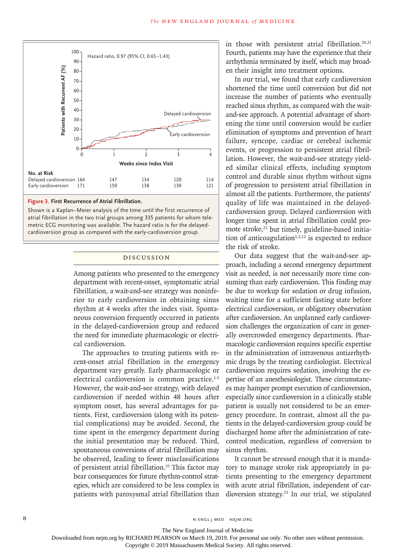

#### **Figure 3. First Recurrence of Atrial Fibrillation.**

Shown is a Kaplan–Meier analysis of the time until the first recurrence of atrial fibrillation in the two trial groups among 335 patients for whom telemetric ECG monitoring was available. The hazard ratio is for the delayedcardioversion group as compared with the early-cardioversion group.

### Discussion

Among patients who presented to the emergency department with recent-onset, symptomatic atrial fibrillation, a wait-and-see strategy was noninferior to early cardioversion in obtaining sinus rhythm at 4 weeks after the index visit. Spontaneous conversion frequently occurred in patients in the delayed-cardioversion group and reduced the need for immediate pharmacologic or electrical cardioversion.

The approaches to treating patients with recent-onset atrial fibrillation in the emergency department vary greatly. Early pharmacologic or electrical cardioversion is common practice.1-3 However, the wait-and-see strategy, with delayed cardioversion if needed within 48 hours after symptom onset, has several advantages for patients. First, cardioversion (along with its potential complications) may be avoided. Second, the time spent in the emergency department during the initial presentation may be reduced. Third, spontaneous conversions of atrial fibrillation may be observed, leading to fewer misclassifications of persistent atrial fibrillation.<sup>19</sup> This factor may bear consequences for future rhythm-control strategies, which are considered to be less complex in patients with paroxysmal atrial fibrillation than in those with persistent atrial fibrillation.<sup>20,21</sup> Fourth, patients may have the experience that their arrhythmia terminated by itself, which may broaden their insight into treatment options.

In our trial, we found that early cardioversion shortened the time until conversion but did not increase the number of patients who eventually reached sinus rhythm, as compared with the waitand-see approach. A potential advantage of shortening the time until conversion would be earlier elimination of symptoms and prevention of heart failure, syncope, cardiac or cerebral ischemic events, or progression to persistent atrial fibrillation. However, the wait-and-see strategy yielded similar clinical effects, including symptom control and durable sinus rhythm without signs of progression to persistent atrial fibrillation in almost all the patients. Furthermore, the patients' quality of life was maintained in the delayedcardioversion group. Delayed cardioversion with longer time spent in atrial fibrillation could promote stroke,<sup>22</sup> but timely, guideline-based initiation of anticoagulation<sup>1,2,12</sup> is expected to reduce the risk of stroke.

Our data suggest that the wait-and-see approach, including a second emergency department visit as needed, is not necessarily more time consuming than early cardioversion. This finding may be due to workup for sedation or drug infusion, waiting time for a sufficient fasting state before electrical cardioversion, or obligatory observation after cardioversion. An unplanned early cardioversion challenges the organization of care in generally overcrowded emergency departments. Pharmacologic cardioversion requires specific expertise in the administration of intravenous antiarrhythmic drugs by the treating cardiologist. Electrical cardioversion requires sedation, involving the expertise of an anesthesiologist. These circumstances may hamper prompt execution of cardioversion, especially since cardioversion in a clinically stable patient is usually not considered to be an emergency procedure. In contrast, almost all the patients in the delayed-cardioversion group could be discharged home after the administration of ratecontrol medication, regardless of conversion to sinus rhythm.

It cannot be stressed enough that it is mandatory to manage stroke risk appropriately in patients presenting to the emergency department with acute atrial fibrillation, independent of cardioversion strategy.23 In our trial, we stipulated

The New England Journal of Medicine

Downloaded from nejm.org by RICHARD PEARSON on March 19, 2019. For personal use only. No other uses without permission.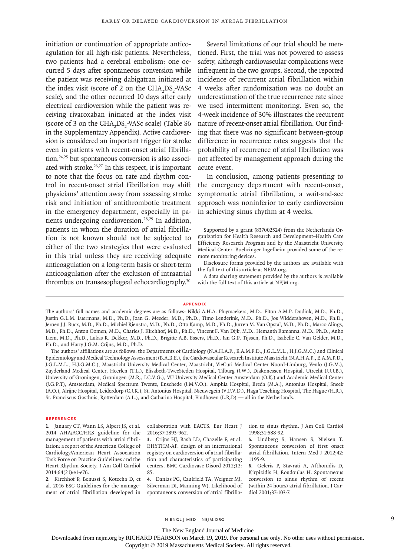initiation or continuation of appropriate anticoagulation for all high-risk patients. Nevertheless, two patients had a cerebral embolism: one occurred 5 days after spontaneous conversion while the patient was receiving dabigatran initiated at the index visit (score of 2 on the  $\text{CHA}_2\text{DS}_2\text{-VASC}$ scale), and the other occurred 10 days after early electrical cardioversion while the patient was receiving rivaroxaban initiated at the index visit (score of 3 on the  $\text{CHA}_2\text{DS}_2\text{-VASC scale}$ ) (Table S6 in the Supplementary Appendix). Active cardioversion is considered an important trigger for stroke even in patients with recent-onset atrial fibrillation,<sup>24,25</sup> but spontaneous conversion is also associated with stroke.<sup>26,27</sup> In this respect, it is important to note that the focus on rate and rhythm control in recent-onset atrial fibrillation may shift physicians' attention away from assessing stroke risk and initiation of antithrombotic treatment in the emergency department, especially in patients undergoing cardioversion.<sup>28,29</sup> In addition, patients in whom the duration of atrial fibrillation is not known should not be subjected to either of the two strategies that were evaluated in this trial unless they are receiving adequate anticoagulation on a long-term basis or short-term anticoagulation after the exclusion of intraatrial thrombus on transesophageal echocardiography.<sup>30</sup>

Several limitations of our trial should be mentioned. First, the trial was not powered to assess safety, although cardiovascular complications were infrequent in the two groups. Second, the reported incidence of recurrent atrial fibrillation within 4 weeks after randomization was no doubt an underestimation of the true recurrence rate since we used intermittent monitoring. Even so, the 4-week incidence of 30% illustrates the recurrent nature of recent-onset atrial fibrillation. Our finding that there was no significant between-group difference in recurrence rates suggests that the probability of recurrence of atrial fibrillation was not affected by management approach during the acute event.

In conclusion, among patients presenting to the emergency department with recent-onset, symptomatic atrial fibrillation, a wait-and-see approach was noninferior to early cardioversion in achieving sinus rhythm at 4 weeks.

Disclosure forms provided by the authors are available with the full text of this article at NEJM.org.

A data sharing statement provided by the authors is available with the full text of this article at NEJM.org.

#### **Appendix**

The authors' affiliations are as follows: the Departments of Cardiology (N.A.H.A.P., E.A.M.P.D., J.G.L.M.L., H.J.G.M.C.) and Clinical Epidemiology and Medical Technology Assessment (B.A.B.E.), the Cardiovascular Research Institute Maastricht (N.A.H.A.P., E.A.M.P.D., J.G.L.M.L., H.J.G.M.C.), Maastricht University Medical Center, Maastricht, VieCuri Medical Center Noord-Limburg, Venlo (J.G.M.), Zuyderland Medical Center, Heerlen (T.L.), Elisabeth-TweeSteden Hospital, Tilburg (J.W.), Diakonessen Hospital, Utrecht (J.J.J.B.), University of Groningen, Groningen (M.R., I.C.V.G.), VU University Medical Center Amsterdam (O.K.) and Academic Medical Center (J.G.P.T), Amsterdam, Medical Spectrum Twente, Enschede (J.M.V.O.), Amphia Hospital, Breda (M.A.), Antonius Hospital, Sneek (A.O.), Alrijne Hospital, Leiderdorp (C.J.K.), St. Antonius Hospital, Nieuwegein (V.F.V.D.), Haga Teaching Hospital, The Hague (H.R.), St. Franciscus Gasthuis, Rotterdam (A.L.), and Catharina Hospital, Eindhoven (L.R.D) — all in the Netherlands.

#### **References**

**1.** January CT, Wann LS, Alpert JS, et al. 2014 AHA/ACC/HRS guideline for the management of patients with atrial fibrillation: a report of the American College of Cardiology/American Heart Association Task Force on Practice Guidelines and the Heart Rhythm Society. J Am Coll Cardiol 2014;64(21):e1-e76.

**2.** Kirchhof P, Benussi S, Kotecha D, et al. 2016 ESC Guidelines for the management of atrial fibrillation developed in collaboration with EACTS. Eur Heart J 2016;37:2893-962.

**3.** Crijns HJ, Bash LD, Chazelle F, et al. RHYTHM-AF: design of an international registry on cardioversion of atrial fibrillation and characteristics of participating centers. BMC Cardiovasc Disord 2012;12: 85.

**4.** Danias PG, Caulfield TA, Weigner MJ, Silverman DI, Manning WJ. Likelihood of spontaneous conversion of atrial fibrillation to sinus rhythm. J Am Coll Cardiol 1998;31:588-92.

**5.** Lindberg S, Hansen S, Nielsen T. Spontaneous conversion of first onset atrial fibrillation. Intern Med J 2012;42: 1195-9.

**6.** Geleris P, Stavrati A, Afthonidis D, Kirpizidis H, Boudoulas H. Spontaneous conversion to sinus rhythm of recent (within 24 hours) atrial fibrillation. J Cardiol 2001;37:103-7.

The New England Journal of Medicine

Downloaded from nejm.org by RICHARD PEARSON on March 19, 2019. For personal use only. No other uses without permission.

Supported by a grant (837002524) from the Netherlands Organization for Health Research and Development–Health Care Efficiency Research Program and by the Maastricht University Medical Center. Boehringer Ingelheim provided some of the remote monitoring devices.

The authors' full names and academic degrees are as follows: Nikki A.H.A. Pluymaekers, M.D., Elton A.M.P. Dudink, M.D., Ph.D., Justin G.L.M. Luermans, M.D., Ph.D., Joan G. Meeder, M.D., Ph.D., Timo Lenderink, M.D., Ph.D., Jos Widdershoven, M.D., Ph.D., Jeroen J.J. Bucx, M.D., Ph.D., Michiel Rienstra, M.D., Ph.D., Otto Kamp, M.D., Ph.D., Jurren M. Van Opstal, M.D., Ph.D., Marco Alings, M.D., Ph.D., Anton Oomen, M.D., Charles J. Kirchhof, M.D., Ph.D., Vincent F. Van Dijk, M.D., Hemanth Ramanna, M.D., Ph.D., Anho Liem, M.D., Ph.D., Lukas R. Dekker, M.D., Ph.D., Brigitte A.B. Essers, Ph.D., Jan G.P. Tijssen, Ph.D., Isabelle C. Van Gelder, M.D., Ph.D., and Harry J.G.M. Crijns, M.D., Ph.D.